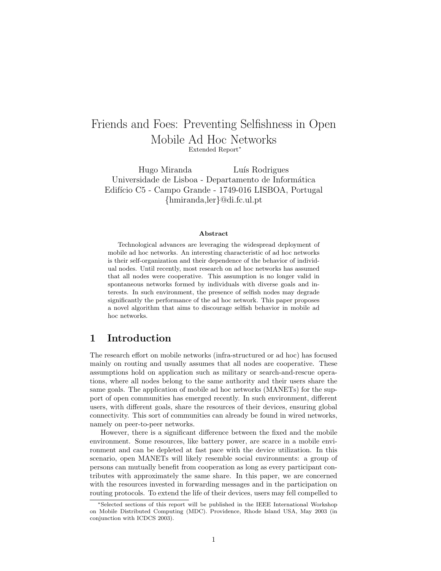# Friends and Foes: Preventing Selfishness in Open Mobile Ad Hoc Networks Extended Report<sup>∗</sup>

Hugo Miranda Luís Rodrigues Universidade de Lisboa - Departamento de Informática Edifício C5 - Campo Grande - 1749-016 LISBOA, Portugal {hmiranda,ler}@di.fc.ul.pt

#### Abstract

Technological advances are leveraging the widespread deployment of mobile ad hoc networks. An interesting characteristic of ad hoc networks is their self-organization and their dependence of the behavior of individual nodes. Until recently, most research on ad hoc networks has assumed that all nodes were cooperative. This assumption is no longer valid in spontaneous networks formed by individuals with diverse goals and interests. In such environment, the presence of selfish nodes may degrade significantly the performance of the ad hoc network. This paper proposes a novel algorithm that aims to discourage selfish behavior in mobile ad hoc networks.

### 1 Introduction

The research effort on mobile networks (infra-structured or ad hoc) has focused mainly on routing and usually assumes that all nodes are cooperative. These assumptions hold on application such as military or search-and-rescue operations, where all nodes belong to the same authority and their users share the same goals. The application of mobile ad hoc networks (MANETs) for the support of open communities has emerged recently. In such environment, different users, with different goals, share the resources of their devices, ensuring global connectivity. This sort of communities can already be found in wired networks, namely on peer-to-peer networks.

However, there is a significant difference between the fixed and the mobile environment. Some resources, like battery power, are scarce in a mobile environment and can be depleted at fast pace with the device utilization. In this scenario, open MANETs will likely resemble social environments: a group of persons can mutually benefit from cooperation as long as every participant contributes with approximately the same share. In this paper, we are concerned with the resources invested in forwarding messages and in the participation on routing protocols. To extend the life of their devices, users may fell compelled to

<sup>∗</sup>Selected sections of this report will be published in the IEEE International Workshop on Mobile Distributed Computing (MDC). Providence, Rhode Island USA, May 2003 (in conjunction with ICDCS 2003).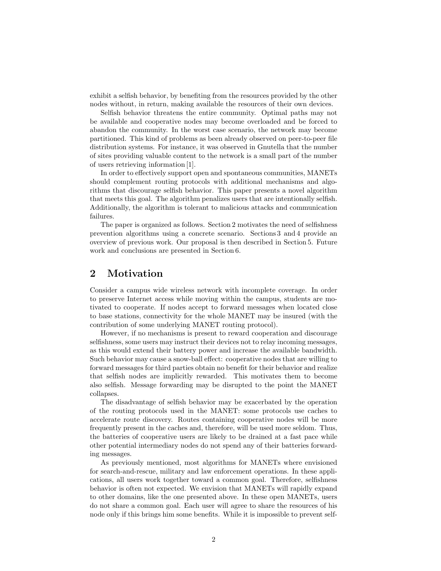exhibit a selfish behavior, by benefiting from the resources provided by the other nodes without, in return, making available the resources of their own devices.

Selfish behavior threatens the entire community. Optimal paths may not be available and cooperative nodes may become overloaded and be forced to abandon the community. In the worst case scenario, the network may become partitioned. This kind of problems as been already observed on peer-to-peer file distribution systems. For instance, it was observed in Gnutella that the number of sites providing valuable content to the network is a small part of the number of users retrieving information [1].

In order to effectively support open and spontaneous communities, MANETs should complement routing protocols with additional mechanisms and algorithms that discourage selfish behavior. This paper presents a novel algorithm that meets this goal. The algorithm penalizes users that are intentionally selfish. Additionally, the algorithm is tolerant to malicious attacks and communication failures.

The paper is organized as follows. Section 2 motivates the need of selfishness prevention algorithms using a concrete scenario. Sections 3 and 4 provide an overview of previous work. Our proposal is then described in Section 5. Future work and conclusions are presented in Section 6.

### 2 Motivation

Consider a campus wide wireless network with incomplete coverage. In order to preserve Internet access while moving within the campus, students are motivated to cooperate. If nodes accept to forward messages when located close to base stations, connectivity for the whole MANET may be insured (with the contribution of some underlying MANET routing protocol).

However, if no mechanisms is present to reward cooperation and discourage selfishness, some users may instruct their devices not to relay incoming messages, as this would extend their battery power and increase the available bandwidth. Such behavior may cause a snow-ball effect: cooperative nodes that are willing to forward messages for third parties obtain no benefit for their behavior and realize that selfish nodes are implicitly rewarded. This motivates them to become also selfish. Message forwarding may be disrupted to the point the MANET collapses.

The disadvantage of selfish behavior may be exacerbated by the operation of the routing protocols used in the MANET: some protocols use caches to accelerate route discovery. Routes containing cooperative nodes will be more frequently present in the caches and, therefore, will be used more seldom. Thus, the batteries of cooperative users are likely to be drained at a fast pace while other potential intermediary nodes do not spend any of their batteries forwarding messages.

As previously mentioned, most algorithms for MANETs where envisioned for search-and-rescue, military and law enforcement operations. In these applications, all users work together toward a common goal. Therefore, selfishness behavior is often not expected. We envision that MANETs will rapidly expand to other domains, like the one presented above. In these open MANETs, users do not share a common goal. Each user will agree to share the resources of his node only if this brings him some benefits. While it is impossible to prevent self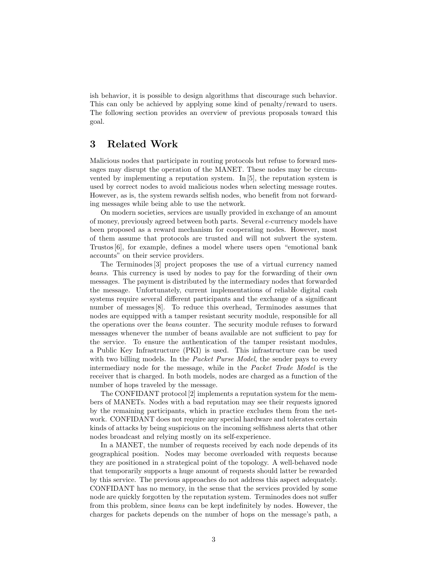ish behavior, it is possible to design algorithms that discourage such behavior. This can only be achieved by applying some kind of penalty/reward to users. The following section provides an overview of previous proposals toward this goal.

### 3 Related Work

Malicious nodes that participate in routing protocols but refuse to forward messages may disrupt the operation of the MANET. These nodes may be circumvented by implementing a reputation system. In [5], the reputation system is used by correct nodes to avoid malicious nodes when selecting message routes. However, as is, the system rewards selfish nodes, who benefit from not forwarding messages while being able to use the network.

On modern societies, services are usually provided in exchange of an amount of money, previously agreed between both parts. Several e-currency models have been proposed as a reward mechanism for cooperating nodes. However, most of them assume that protocols are trusted and will not subvert the system. Trustos [6], for example, defines a model where users open "emotional bank accounts" on their service providers.

The Terminodes [3] project proposes the use of a virtual currency named beans. This currency is used by nodes to pay for the forwarding of their own messages. The payment is distributed by the intermediary nodes that forwarded the message. Unfortunately, current implementations of reliable digital cash systems require several different participants and the exchange of a significant number of messages [8]. To reduce this overhead, Terminodes assumes that nodes are equipped with a tamper resistant security module, responsible for all the operations over the beans counter. The security module refuses to forward messages whenever the number of beans available are not sufficient to pay for the service. To ensure the authentication of the tamper resistant modules, a Public Key Infrastructure (PKI) is used. This infrastructure can be used with two billing models. In the *Packet Purse Model*, the sender pays to every intermediary node for the message, while in the Packet Trade Model is the receiver that is charged. In both models, nodes are charged as a function of the number of hops traveled by the message.

The CONFIDANT protocol [2] implements a reputation system for the members of MANETs. Nodes with a bad reputation may see their requests ignored by the remaining participants, which in practice excludes them from the network. CONFIDANT does not require any special hardware and tolerates certain kinds of attacks by being suspicious on the incoming selfishness alerts that other nodes broadcast and relying mostly on its self-experience.

In a MANET, the number of requests received by each node depends of its geographical position. Nodes may become overloaded with requests because they are positioned in a strategical point of the topology. A well-behaved node that temporarily supports a huge amount of requests should latter be rewarded by this service. The previous approaches do not address this aspect adequately. CONFIDANT has no memory, in the sense that the services provided by some node are quickly forgotten by the reputation system. Terminodes does not suffer from this problem, since beans can be kept indefinitely by nodes. However, the charges for packets depends on the number of hops on the message's path, a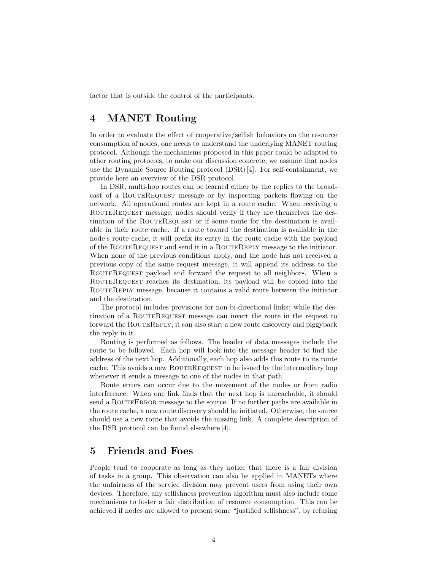factor that is outside the control of the participants.

### 4 MANET Routing

In order to evaluate the effect of cooperative/selfish behaviors on the resource consumption of nodes, one needs to understand the underlying MANET routing protocol. Although the mechanisms proposed in this paper could be adapted to other routing protocols, to make our discussion concrete, we assume that nodes use the Dynamic Source Routing protocol (DSR) [4]. For self-containment, we provide here an overview of the DSR protocol.

In DSR, multi-hop routes can be learned either by the replies to the broadcast of a RouteRequest message or by inspecting packets flowing on the network. All operational routes are kept in a route cache. When receiving a RouteRequest message, nodes should verify if they are themselves the destination of the ROUTEREQUEST or if some route for the destination is available in their route cache. If a route toward the destination is available in the node's route cache, it will prefix its entry in the route cache with the payload of the RouteRequest and send it in a RouteReply message to the initiator. When none of the previous conditions apply, and the node has not received a previous copy of the same request message, it will append its address to the ROUTEREQUEST payload and forward the request to all neighbors. When a RouteRequest reaches its destination, its payload will be copied into the RouteReply message, because it contains a valid route between the initiator and the destination.

The protocol includes provisions for non-bi-directional links: while the destination of a ROUTEREQUEST message can invert the route in the request to forward the ROUTEREPLY, it can also start a new route discovery and piggyback the reply in it.

Routing is performed as follows. The header of data messages include the route to be followed. Each hop will look into the message header to find the address of the next hop. Additionally, each hop also adds this route to its route cache. This avoids a new ROUTEREQUEST to be issued by the intermediary hop whenever it sends a message to one of the nodes in that path.

Route errors can occur due to the movement of the nodes or from radio interference. When one link finds that the next hop is unreachable, it should send a ROUTEERROR message to the source. If no further paths are available in the route cache, a new route discovery should be initiated. Otherwise, the source should use a new route that avoids the missing link. A complete description of the DSR protocol can be found elsewhere [4].

## 5 Friends and Foes

People tend to cooperate as long as they notice that there is a fair division of tasks in a group. This observation can also be applied in MANETs where the unfairness of the service division may prevent users from using their own devices. Therefore, any selfishness prevention algorithm must also include some mechanisms to foster a fair distribution of resource consumption. This can be achieved if nodes are allowed to present some "justified selfishness", by refusing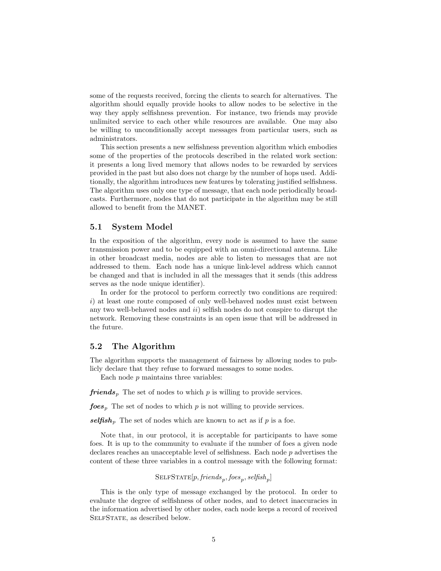some of the requests received, forcing the clients to search for alternatives. The algorithm should equally provide hooks to allow nodes to be selective in the way they apply selfishness prevention. For instance, two friends may provide unlimited service to each other while resources are available. One may also be willing to unconditionally accept messages from particular users, such as administrators.

This section presents a new selfishness prevention algorithm which embodies some of the properties of the protocols described in the related work section: it presents a long lived memory that allows nodes to be rewarded by services provided in the past but also does not charge by the number of hops used. Additionally, the algorithm introduces new features by tolerating justified selfishness. The algorithm uses only one type of message, that each node periodically broadcasts. Furthermore, nodes that do not participate in the algorithm may be still allowed to benefit from the MANET.

#### 5.1 System Model

In the exposition of the algorithm, every node is assumed to have the same transmission power and to be equipped with an omni-directional antenna. Like in other broadcast media, nodes are able to listen to messages that are not addressed to them. Each node has a unique link-level address which cannot be changed and that is included in all the messages that it sends (this address serves as the node unique identifier).

In order for the protocol to perform correctly two conditions are required: i) at least one route composed of only well-behaved nodes must exist between any two well-behaved nodes and  $ii)$  selfish nodes do not conspire to disrupt the network. Removing these constraints is an open issue that will be addressed in the future.

### 5.2 The Algorithm

The algorithm supports the management of fairness by allowing nodes to publicly declare that they refuse to forward messages to some nodes.

Each node  $p$  maintains three variables:

*friends*<sub>p</sub> The set of nodes to which p is willing to provide services.

**foes**<sub>p</sub> The set of nodes to which p is not willing to provide services.

selfish<sub>p</sub> The set of nodes which are known to act as if p is a foe.

Note that, in our protocol, it is acceptable for participants to have some foes. It is up to the community to evaluate if the number of foes a given node declares reaches an unacceptable level of selfishness. Each node p advertises the content of these three variables in a control message with the following format:

$$
\texttt{SELFSTATE}[p, friends_p, foes_p, selfish_p]
$$

This is the only type of message exchanged by the protocol. In order to evaluate the degree of selfishness of other nodes, and to detect inaccuracies in the information advertised by other nodes, each node keeps a record of received SELFSTATE, as described below.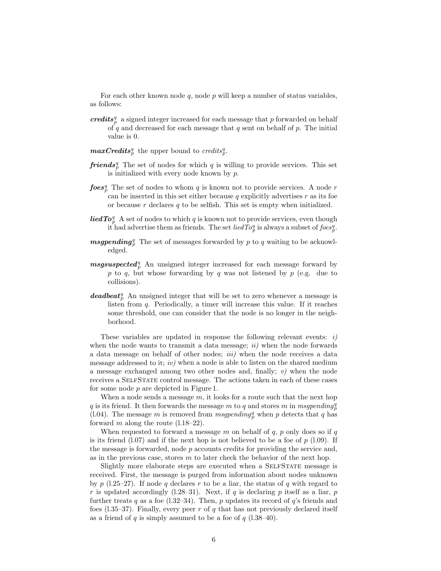For each other known node  $q$ , node  $p$  will keep a number of status variables, as follows:

- credits<sup>q</sup> a signed integer increased for each message that p forwarded on behalf of  $q$  and decreased for each message that  $q$  sent on behalf of  $p$ . The initial value is 0.
- $maxCredits_q^q$  the upper bound to credits<sub>p</sub>.
- *friends*<sup>*q*</sup> The set of nodes for which *q* is willing to provide services. This set is initialized with every node known by  $p$ .
- $\mathit{foes}^q_p$  The set of nodes to whom q is known not to provide services. A node r can be inserted in this set either because  $q$  explicitly advertises  $r$  as its foe or because r declares  $q$  to be selfish. This set is empty when initialized.
- $\mathbf{liedTo}_{p}^{q}$  A set of nodes to which q is known not to provide services, even though it had advertise them as friends. The set  $\text{lied} To_p^q$  is always a subset of  $\text{foes}_p^q$ .
- **msgpending**<sup>q</sup> The set of messages forwarded by p to q waiting to be acknowledged.
- **msgsuspected**<sup>q</sup> An unsigned integer increased for each message forward by p to q, but whose forwarding by q was not listened by  $p$  (e.g. due to collisions).
- **deadbeat**<sup>*q*</sup> An unsigned integer that will be set to zero whenever a message is listen from q. Periodically, a timer will increase this value. If it reaches some threshold, one can consider that the node is no longer in the neighborhood.

These variables are updated in response the following relevant events:  $i$ ) when the node wants to transmit a data message;  $ii)$  when the node forwards a data message on behalf of other nodes;  $iii)$  when the node receives a data message addressed to it;  $iv$ ) when a node is able to listen on the shared medium a message exchanged among two other nodes and, finally;  $v$ ) when the node receives a SELFSTATE control message. The actions taken in each of these cases for some node  $p$  are depicted in Figure 1.

When a node sends a message  $m$ , it looks for a route such that the next hop q is its friend. It then forwards the message m to q and stores m in msgpending  $q_p$ (1.04). The message m is removed from  $msgpending_p^q$  when p detects that q has forward m along the route  $(1.18-22)$ .

When requested to forward a message  $m$  on behalf of  $q$ ,  $p$  only does so if  $q$ is its friend  $(1.07)$  and if the next hop is not believed to be a foe of  $p(1.09)$ . If the message is forwarded, node  $p$  accounts credits for providing the service and, as in the previous case, stores  $m$  to later check the behavior of the next hop.

Slightly more elaborate steps are executed when a SELFSTATE message is received. First, the message is purged from information about nodes unknown by p (l.25–27). If node q declares r to be a liar, the status of q with regard to r is updated accordingly (1.28–31). Next, if q is declaring p itself as a liar, p further treats q as a foe  $(1.32-34)$ . Then, p updates its record of q's friends and foes (1.35–37). Finally, every peer r of q that has not previously declared itself as a friend of q is simply assumed to be a foe of  $q$  (1.38–40).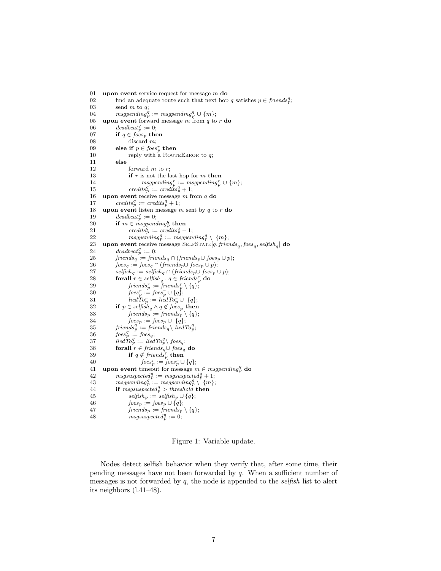```
01 upon event service request for message m do
02 find an adequate route such that next hop q satisfies p \in friends_p^q;
03 send m to q;<br>04 msqpending<sup>n</sup>
04 msgpendingq_p^q := msgpendingq_p^q \cup \{m\};05 upon event forward message m from q to r do
06 deadbeat_p^q := 0;07 if q \in foes_p then<br>08 discard m:
                    discard m;
09 else if p \in foes_p^r then
10 reply with a ROUTEERROR to q;<br>11 else
             else
12 forward m to r;<br>13 if r is not the la
13 if r is not the last hop for m then<br>14 msqpending_n^r := msq14 msgpending_p^r := msgpending_p^r \cup \{m\};15 \qquad \qquad \text{credits}_p^q := \text{credits}_p^q + 1;16 upon event receive message m from q do
17 credits<sup>q</sup><sub>p</sub> := credits<sub>p</sub><sup>q</sup> + 1;
18 upon event listen message m sent by q to r do
19 deadbeat_p^q := 0;20 if m \in \text{msgpending}_{p}^q then
21 \qquad \qquad \text{credits}_p^q := \text{credits}_p^q - 1;22 msgpending p^q := msgpending p^q \setminus \{m\};23 upon event receive message SELFSTATE[q, friends<sub>q</sub>, foes<sub>q</sub>, selfish<sub>q</sub>] do
24 deadbeat<sub>p</sub> := 0;
25 friends<sub>q</sub> := friends<sub>q</sub> ∩ (friends<sub>p</sub>∪ foes<sub>p</sub> ∪ p);<br>26 foes<sub>a</sub> := foes<sub>a</sub> ∩ (friends<sub>p</sub>∪ foes<sub>p</sub> ∪ p);
26 foes_q := foes_q \cap (friends_p \cup foes_p \cup p);<br>27 selfish_q := selfish_q \cap (friends_p \cup foes_p)27 selfish<sub>q</sub> := selfish<sub>q</sub> ∩ (friends<sub>p</sub>∪ foes<sub>p</sub> ∪ p);<br>28 forall r \in \text{selfish}_a : q \in \text{friends}^r_a do
28 forall r \in \text{selfish}_q : q \in \text{friends}_p^r do
29 friends_p^r := \hat{f}riends_p^r \setminus \{q\};30 foes_p^r := foes_p^r \cup \{q\};31 \qquad \qquad \text{liedTo}_{p}^{r} := \text{liedTo}_{p}^{r} \cup \{q\};32 if p \in \text{selfish}_q \land q \notin \text{foes}_p then
33 friends_p := friends_p \setminus \{q\};<br>34 foes_p := foes_p \cup \{q\};34 foes_p := foes_p \cup \{q\};<br>35 friends_n^q := friends_q \setminus lied'35 friends_p^q := friends_q \setminus liedTo_p^q;36 foes_p^q := foes_q;37 \qquad \qquad \text{liedTo}_{p}^{q} := \text{liedTo}_{p}^{q} \setminus \text{foes}_{q};38 forall r \in \text{friends}_q \cup \text{foes}_q do<br>39 if q \notin \text{friends}^r then
39 if q \notin \text{friends}_p^r then
40 foes_p^r := foes_p^r \cup \{q\};41 upon event timeout for message m \in msgpending<sup>q</sup> do
42 msgsuspected _p^q := msgsuspected _p^q + 1;
43 msgpending q_p^q := msgpending q_p^q \setminus {m};<br>44 if msgsuspected q_p^q > threshold then
45 selfish_p := selfish_p \cup \{q\};46 foes_p := foes_p \cup \{q\};<br>47 friends_n := friends_n47 friends_p := friends_p \setminus \{q\};<br>48 massuspected_n^q := 0:
48 msgsuspected_p^q := 0;
```
Figure 1: Variable update.

Nodes detect selfish behavior when they verify that, after some time, their pending messages have not been forwarded by  $q$ . When a sufficient number of messages is not forwarded by  $q$ , the node is appended to the *selfish* list to alert its neighbors (l.41–48).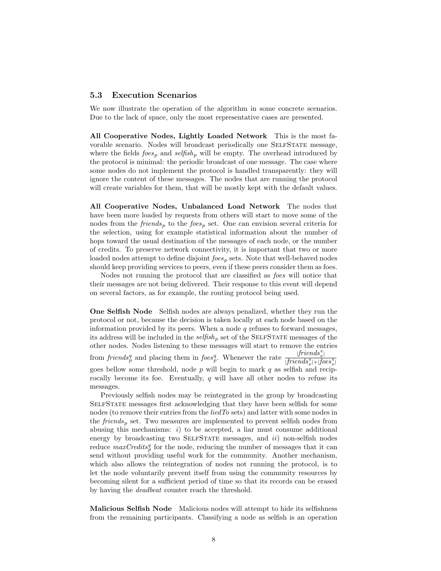#### 5.3 Execution Scenarios

We now illustrate the operation of the algorithm in some concrete scenarios. Due to the lack of space, only the most representative cases are presented.

All Cooperative Nodes, Lightly Loaded Network This is the most favorable scenario. Nodes will broadcast periodically one SelfState message, where the fields  $foes_p$  and  $selfish_p$  will be empty. The overhead introduced by the protocol is minimal: the periodic broadcast of one message. The case where some nodes do not implement the protocol is handled transparently: they will ignore the content of these messages. The nodes that are running the protocol will create variables for them, that will be mostly kept with the default values.

All Cooperative Nodes, Unbalanced Load Network The nodes that have been more loaded by requests from others will start to move some of the nodes from the friends<sub>p</sub> to the foes<sub>p</sub> set. One can envision several criteria for the selection, using for example statistical information about the number of hops toward the usual destination of the messages of each node, or the number of credits. To preserve network connectivity, it is important that two or more loaded nodes attempt to define disjoint  $foes_p$  sets. Note that well-behaved nodes should keep providing services to peers, even if these peers consider them as foes.

Nodes not running the protocol that are classified as foes will notice that their messages are not being delivered. Their response to this event will depend on several factors, as for example, the routing protocol being used.

One Selfish Node Selfish nodes are always penalized, whether they run the protocol or not, because the decision is taken locally at each node based on the information provided by its peers. When a node  $q$  refuses to forward messages, its address will be included in the  $selfish_p$  set of the SELFSTATE messages of the other nodes. Nodes listening to these messages will start to remove the entries from friends  $q_p^q$  and placing them in foes  $q_p^q$ . Whenever the rate  $\frac{|friends_p^q|}{|friends_p^q|+|foes_p^q|}$ goes bellow some threshold, node  $p$  will begin to mark  $q$  as selfish and reciprocally become its foe. Eventually,  $q$  will have all other nodes to refuse its messages.

Previously selfish nodes may be reintegrated in the group by broadcasting SelfState messages first acknowledging that they have been selfish for some nodes (to remove their entries from the *liedTo* sets) and latter with some nodes in the friends<sub>p</sub> set. Two measures are implemented to prevent selfish nodes from abusing this mechanisms:  $i)$  to be accepted, a liar must consume additional energy by broadcasting two SELFSTATE messages, and  $ii)$  non-selfish nodes reduce  $maxCrelits_p^q$  for the node, reducing the number of messages that it can send without providing useful work for the community. Another mechanism, which also allows the reintegration of nodes not running the protocol, is to let the node voluntarily prevent itself from using the community resources by becoming silent for a sufficient period of time so that its records can be erased by having the deadbeat counter reach the threshold.

Malicious Selfish Node Malicious nodes will attempt to hide its selfishness from the remaining participants. Classifying a node as selfish is an operation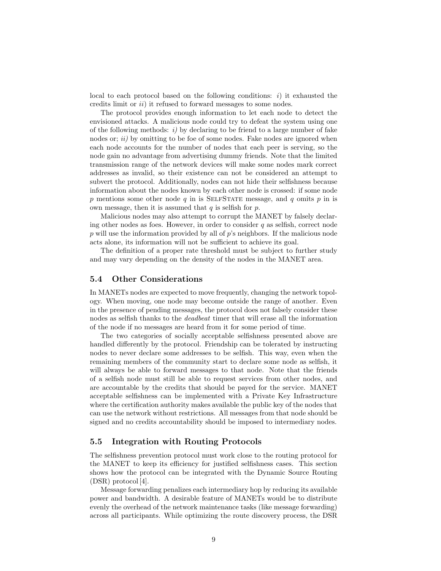local to each protocol based on the following conditions:  $i$ ) it exhausted the credits limit or ii) it refused to forward messages to some nodes.

The protocol provides enough information to let each node to detect the envisioned attacks. A malicious node could try to defeat the system using one of the following methods:  $i$ ) by declaring to be friend to a large number of fake nodes or;  $ii)$  by omitting to be foe of some nodes. Fake nodes are ignored when each node accounts for the number of nodes that each peer is serving, so the node gain no advantage from advertising dummy friends. Note that the limited transmission range of the network devices will make some nodes mark correct addresses as invalid, so their existence can not be considered an attempt to subvert the protocol. Additionally, nodes can not hide their selfishness because information about the nodes known by each other node is crossed: if some node p mentions some other node q in is SELFSTATE message, and q omits p in is own message, then it is assumed that  $q$  is selfish for  $p$ .

Malicious nodes may also attempt to corrupt the MANET by falsely declaring other nodes as foes. However, in order to consider  $q$  as selfish, correct node  $p$  will use the information provided by all of  $p$ 's neighbors. If the malicious node acts alone, its information will not be sufficient to achieve its goal.

The definition of a proper rate threshold must be subject to further study and may vary depending on the density of the nodes in the MANET area.

#### 5.4 Other Considerations

In MANETs nodes are expected to move frequently, changing the network topology. When moving, one node may become outside the range of another. Even in the presence of pending messages, the protocol does not falsely consider these nodes as selfish thanks to the deadbeat timer that will erase all the information of the node if no messages are heard from it for some period of time.

The two categories of socially acceptable selfishness presented above are handled differently by the protocol. Friendship can be tolerated by instructing nodes to never declare some addresses to be selfish. This way, even when the remaining members of the community start to declare some node as selfish, it will always be able to forward messages to that node. Note that the friends of a selfish node must still be able to request services from other nodes, and are accountable by the credits that should be payed for the service. MANET acceptable selfishness can be implemented with a Private Key Infrastructure where the certification authority makes available the public key of the nodes that can use the network without restrictions. All messages from that node should be signed and no credits accountability should be imposed to intermediary nodes.

#### 5.5 Integration with Routing Protocols

The selfishness prevention protocol must work close to the routing protocol for the MANET to keep its efficiency for justified selfishness cases. This section shows how the protocol can be integrated with the Dynamic Source Routing (DSR) protocol [4].

Message forwarding penalizes each intermediary hop by reducing its available power and bandwidth. A desirable feature of MANETs would be to distribute evenly the overhead of the network maintenance tasks (like message forwarding) across all participants. While optimizing the route discovery process, the DSR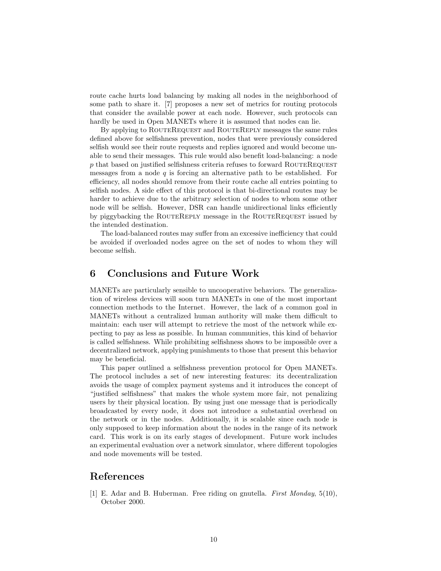route cache hurts load balancing by making all nodes in the neighborhood of some path to share it. [7] proposes a new set of metrics for routing protocols that consider the available power at each node. However, such protocols can hardly be used in Open MANETs where it is assumed that nodes can lie.

By applying to ROUTEREQUEST and ROUTEREPLY messages the same rules defined above for selfishness prevention, nodes that were previously considered selfish would see their route requests and replies ignored and would become unable to send their messages. This rule would also benefit load-balancing: a node  $p$  that based on justified selfishness criteria refuses to forward ROUTEREQUEST messages from a node q is forcing an alternative path to be established. For efficiency, all nodes should remove from their route cache all entries pointing to selfish nodes. A side effect of this protocol is that bi-directional routes may be harder to achieve due to the arbitrary selection of nodes to whom some other node will be selfish. However, DSR can handle unidirectional links efficiently by piggybacking the RouteReply message in the RouteRequest issued by the intended destination.

The load-balanced routes may suffer from an excessive inefficiency that could be avoided if overloaded nodes agree on the set of nodes to whom they will become selfish.

### 6 Conclusions and Future Work

MANETs are particularly sensible to uncooperative behaviors. The generalization of wireless devices will soon turn MANETs in one of the most important connection methods to the Internet. However, the lack of a common goal in MANETs without a centralized human authority will make them difficult to maintain: each user will attempt to retrieve the most of the network while expecting to pay as less as possible. In human communities, this kind of behavior is called selfishness. While prohibiting selfishness shows to be impossible over a decentralized network, applying punishments to those that present this behavior may be beneficial.

This paper outlined a selfishness prevention protocol for Open MANETs. The protocol includes a set of new interesting features: its decentralization avoids the usage of complex payment systems and it introduces the concept of "justified selfishness" that makes the whole system more fair, not penalizing users by their physical location. By using just one message that is periodically broadcasted by every node, it does not introduce a substantial overhead on the network or in the nodes. Additionally, it is scalable since each node is only supposed to keep information about the nodes in the range of its network card. This work is on its early stages of development. Future work includes an experimental evaluation over a network simulator, where different topologies and node movements will be tested.

### References

[1] E. Adar and B. Huberman. Free riding on gnutella. First Monday, 5(10), October 2000.